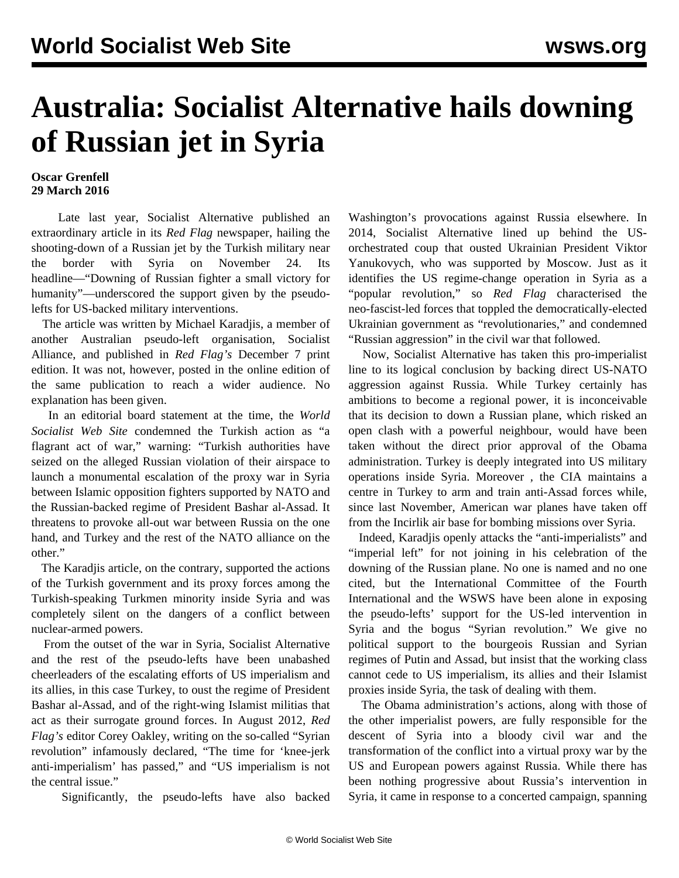## **Australia: Socialist Alternative hails downing of Russian jet in Syria**

## **Oscar Grenfell 29 March 2016**

 Late last year, Socialist Alternative published an extraordinary article in its *Red Flag* newspaper, hailing the shooting-down of a Russian jet by the Turkish military near the border with Syria on November 24. Its headline—"Downing of Russian fighter a small victory for humanity"—underscored the support given by the pseudolefts for US-backed military interventions.

 The article was written by Michael Karadjis, a member of another Australian pseudo-left organisation, Socialist Alliance, and published in *Red Flag's* December 7 print edition. It was not, however, posted in the online edition of the same publication to reach a wider audience. No explanation has been given.

 In an editorial board statement at the time, the *World Socialist Web Site* condemned the Turkish action as "a flagrant act of war," warning: "Turkish authorities have seized on the alleged Russian violation of their airspace to launch a monumental escalation of the proxy war in Syria between Islamic opposition fighters supported by NATO and the Russian-backed regime of President Bashar al-Assad. It threatens to provoke all-out war between Russia on the one hand, and Turkey and the rest of the NATO alliance on the other."

 The Karadjis article, on the contrary, supported the actions of the Turkish government and its proxy forces among the Turkish-speaking Turkmen minority inside Syria and was completely silent on the dangers of a conflict between nuclear-armed powers.

 From the outset of the war in Syria, Socialist Alternative and the rest of the pseudo-lefts have been unabashed cheerleaders of the escalating efforts of US imperialism and its allies, in this case Turkey, to oust the regime of President Bashar al-Assad, and of the right-wing Islamist militias that act as their surrogate ground forces. In August 2012, *Red Flag's* editor Corey Oakley, writing on the so-called "Syrian revolution" infamously declared, "The time for 'knee-jerk anti-imperialism' has passed," and "US imperialism is not the central issue."

Significantly, the pseudo-lefts have also backed

Washington's provocations against Russia elsewhere. In 2014, Socialist Alternative lined up behind the USorchestrated coup that ousted Ukrainian President Viktor Yanukovych, who was supported by Moscow. Just as it identifies the US regime-change operation in Syria as a "popular revolution," so *Red Flag* characterised the neo*-*fascist-led forces that toppled the democratically-elected Ukrainian government as "revolutionaries," and condemned "Russian aggression" in the civil war that followed.

 Now, Socialist Alternative has taken this pro-imperialist line to its logical conclusion by backing direct US-NATO aggression against Russia. While Turkey certainly has ambitions to become a regional power, it is inconceivable that its decision to down a Russian plane, which risked an open clash with a powerful neighbour, would have been taken without the direct prior approval of the Obama administration. Turkey is deeply integrated into US military operations inside Syria. Moreover *,* the CIA maintains a centre in Turkey to arm and train anti-Assad forces while, since last November, American war planes have taken off from the Incirlik air base for bombing missions over Syria.

 Indeed, Karadjis openly attacks the "anti-imperialists" and "imperial left" for not joining in his celebration of the downing of the Russian plane. No one is named and no one cited, but the International Committee of the Fourth International and the WSWS have been alone in exposing the pseudo-lefts' support for the US-led intervention in Syria and the bogus "Syrian revolution." We give no political support to the bourgeois Russian and Syrian regimes of Putin and Assad, but insist that the working class cannot cede to US imperialism, its allies and their Islamist proxies inside Syria, the task of dealing with them.

 The Obama administration's actions, along with those of the other imperialist powers, are fully responsible for the descent of Syria into a bloody civil war and the transformation of the conflict into a virtual proxy war by the US and European powers against Russia. While there has been nothing progressive about Russia's intervention in Syria, it came in response to a concerted campaign, spanning